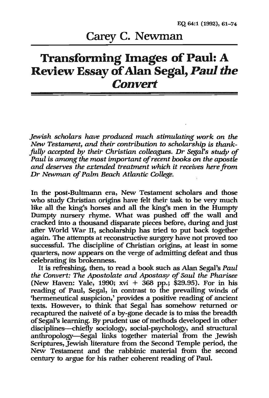## Carey C. Newman

## Transforming Images of Paul: A Review Essay of Alan Segal, *Paul the Convert*

*Jewish scholars have produced much stimulating work on the New Testament, and their contribution* to *scholarship is thankfully accepted by their Christian colleagues.* Dr *Segal's study of Paul is among the most important of recent books on the apostle and deserves the extended treatment which it receives here from·*  Dr *Newman of Palm Beach Atlantic College.* 

In the post-Bultmann era, New Testament scholars and those who study Christian origins have felt their task to be very much like all the king's horses and all the king's men in the Humpty Dumpty nursery rhyme. What was pushed off the wall and cracked into a thousand disparate pieces before, during and just. after World War 11, scholarship has tried to put back together again. The attempts at reconstructive surgery have not proved too successful. The discipline of Christian origins, at least in some quarters, now appears on the verge of admitting defeat and thus celebrating its brokenness.

It is refreshing, then, to read a book such as Alan Segal's *Paul the Convert: The Apostolate and Apostasy of Saul the Pharisee*  (New Haven: Yale, 1990; xvi + 368 pp.; \$29.95). For in his reading of Paul, Segal, in contrast to the prevailing winds of 'hermeneutical suspicion,' provides a positive reading of ancient texts. However, to think that Segal has somehow returned or recaptured the naiveté of a by-gone decade is to miss the breadth of Segal's learning. By prudent use of methods developed in other disciplines--chiefly sociology, social-psychology, and structural anthropology-Segal links together material from the Jewish Scriptures, Jewish literature from the Second Temple period, the New Testament and the rabbinic material from the second century to argue for his rather coherent reading of Paul.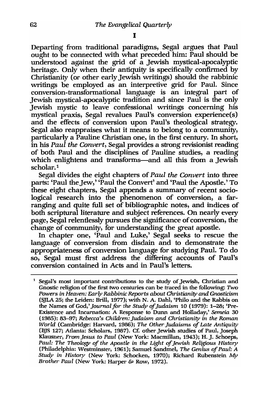Departing from traditional paradigms, Segal argues that Paul ought to be connected with what preceded him: Paul should be understood against the grid of a Jewish mystical-apocalyptic heritage. Only when their antiquity is specifically confirmed by Christianity (or other early Jewish writings) should the rabbinic writings be employed as an interpretive grid for Paul. Since conversion-transformational language is an integral part of Jewish mystical-apocalyptic tradition and since Paul is the only Jewish mystic to leave confessional writings concerning his mystical praxis, Segal revalues Paul's conversion experience(s) and the effects of conversion upon Paul's theological strategy. Segal also reappraises what it means to belong to a community, particularly a Pauline Christian one, in the first century. In short, in his *Paul the Convert,* Segal provides a strong revisionist reading of both Paul and the disciplines of Pauline studies, a reading which enlightens and transforms-and all this from a Jewish scholar.<sup>1</sup>

Segal divides the eight chapters of *Paul the Convert* into three parts: 'Paul the Jew,' 'Paul the Convert' and 'Paul the Apostle.' To these eight chapters, Segal appends a summary of recent sociological research into the phenomenon of conversion, a farranging and quite full set of bibliographic notes, and indices of both scriptural literature and subject references. On nearly every page, Segal relentlessly pursues the significance of conversion, the change of community, for understanding the great apostle.

In chapter one, 'Paul and Luke,' Segal seeks to rescue the language of conversion from disdain and to demonstrate the appropriateness of conversion language for studying Paul. To do so, Segal must first address the differing accounts of Paul's conversion contained in Acts and in Paul's letters.

<sup>1</sup> Segal's most important contributions to the study of Jewish, Christian and Gnostic religion of the first two centuries can be traced in the following: Two *Powers in Heaven: Early Rabbinic Rep01'tS about Christianity and Gnosticism*  (SJLA 25; the Leiden: Brill, 1977); with N. A. Dahl, 'Philo and the Rabbis on the Names of God,' *Journal for the Study of Judaism* 10 (1979): 1-28; 'Pre-Existence and Incarnation: A Response to Dunn and Holladay,' *Semeia 30*  (1985): 83-97; *Rebecca's Children: judaism and Christianity in the Roman World* (Cambridge: Harvard, 1986); *The Other Judaisms of Late Antiquity* (BJS 127; Atlanta: Scholars, 1987). Ct: other Jewish studies of Paul, Joseph Klausner, *From Jesus to Paul* (New York: Macmillan, 1943); H. J. Schoeps, Paul: The Theology of the Apostle in the Light of Jewish Religious History (Philadelphia: Westminster, 1961); Samuel Sandmel, *The Genius of Paul: A Study in History* (New York: Schocken, 1970); Richard Rubenstein  $Mv$ *Brother Paul* (New York: Harper & Row, 1972).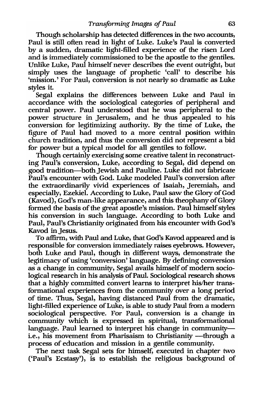Though scholarship has detected differences in the two accounts, Paul is still often read in light of Luke. Luke's Paul is converted by a sudden, dramatic light-filled experience of the risen Lord and is immediately commissioned to be the apostle to the gentiles. Unlike Luke, Paul himself never describes the event outright, but simply uses the language of prophetic 'call' to describe his 'mission.' For Paul, conversion is not nearly so dramatic as Luke styles it.

Segal explains the differences between Luke and Paul in accordance with the sociological categories of peripheral and central power. Paul understood that he was peripheral to the power structure in jerusalem, and he thus appealed to his conversion for legitimizing authority. By the time of Luke, the figure of Paul had moved to a more central position within church tradition, and thus the conversion did not represent a bid for power' but a typical model for all gentiles to follow.

Though certainly exercising some creative talent in reconstructing Paul's conversion, Luke, according to Segal, did depend on good tradition--both Jewish and Pauline. Luke did not fabricate Paul's encounter with God. Luke modeled Paul's conversion after the extraordinarily vivid experiences of Isaiah, jeremiah, and especially, Ezekiel. According to Luke, Paul saw the Glory of God (Kavod), God's man-like appearance, and this theophany of Glory formed the basis of the great apostle's mission. Paul himself styles his conversion in such language. According to both Luke and Paul, Paul's Christianity originated from his encounter with God's Kavod in Jesus.

To affirm, with Paul and Luke, that God's Kavod appeared and is responsible for conversion immediately raises eyebrows. However, both Luke and Paul, though in different ways, demonstrate the legitimacy of using 'conversion' language. By defining conversion as a change in community, Segal avails himself of modern sociological research in his analysis of Paul. Sociological research shows that a highly committed convert learns to interpret his/her transformational experiences from the community over a long period of time. Thus, Segal, having distanced Paul from the dramatic, light-filled experience of Luke, is able to study Paul from a modern sociological perspective. For Paul, conversion is a change in community which is expressed in spiritual, transformational language. Paul learned to interpret his change in communityi.e., his movement from Pharisaism to Christianity —through a process of education and mission in a gentile community.

The next task Segal sets for himself, executed in chapter two ('Paul's Ecstasy'), is to establish the religious background of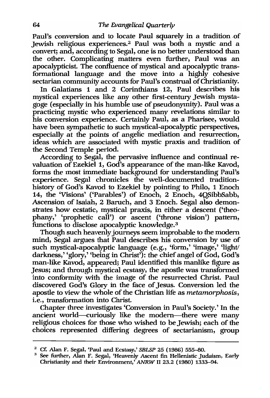Paul's conversion and to locate Paul squarely in a tradition of Jewish religious experiences.2 Paul was both a mystic and a convert; and, according to Segal, one is no better understood than the other. Complicating matters even further, Paul was an apocalypticist. The confluence of mystical and apocalyptic transformational language and the move into a highly cohesive sectarian community accounts for Paul's construal of Christianity.

In Galatians 1 and 2 Corinthians 12, Paul describes his mystical experiences like any other first-century Jewish mystagoge (especially in his humble use of pseudonymity). Paul was a practicing mystic who experienced many revelations similar to his conversion experience. Certainly Paul, as a Pharisee, would have been sympathetic to such mystical-apocalyptic perspectives, especially at the points of angelic mediation and resurrection, ideas which are associated with mystic praxis and tradition of the Second Temple period.

According to Segal, the pervasive influence and continual revaluation of Ezekiel 1, God's appearance of the man-like Kavod, forms the most immediate background for understanding Paul's experience. Segal chronicles the well-documented traditionhistory of God's Kavod to Ezekiel by pointing to Philo, 1 Enoch 14, the 'Visions' ('Parables') of Enoch, 2 Enoch, 4QSibbSabb, Ascension of Isaiah, 2 Baruch, and 3 Enoch. Segal also demonstrates how ecstatic, mystical praxis, in either a descent ('theophany,' 'prophetic call') or ascent ('throne vision') pattern, functions to disclose apocalyptic knowledge.<sup>3</sup>

Though such heavenly journeys seem improbable to the modem mind, Segal argues that Paul describes his conversion by use of such mystical-apocalyptic language (e.g., 'form,' 'image,' 'light' darkness,' 'glory,' 'being in Christ'): the chief angel of God, God's man-like Kavod, appeared; Paul identified this manlike figure as Jesus; and through mystical ecstasy, the apostle was transformed into conformity with the image of the resurrected Christ. Paul discovered God's Glory in the face of Jesus. Conversion led the apostle to view the whole of the Christian life as *metamorphosis,*  i.e., transformation into Christ.

Chapter three investigates 'Conversion in Paul's Society.' In the ancient world-curiously like the modern-there were many religious choices for those who wished to be Jewish; each of the choices represented differing degrees of sectarianism, group'

<sup>&</sup>lt;sup>2</sup> Cf. Alan F. Segal, 'Paul and Ecstasy,' *SBLSP* 25 (1986) 555-80.

<sup>&</sup>lt;sup>3</sup> See further, Alan F. Segal, 'Heavenly Ascent fin Hellenistic Judaism, Early Christianity and their Environment,<sup> $\lambda$ </sup> ANRW II 23.2 (1980) 1333-94.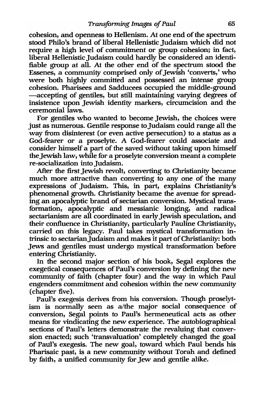cohesion, and openness to Hellenism. At one end of the spectrum stood Philo's brand of liberal Hellenistic Judaism which did not require a high level of commitment or group cohesion; in fact, liberal Hellenistic Judaism could hardly be considered an identifiable group at all. At the other end of the spectrum stood the Essenes, a community comprised only of Jewish 'converts,' who were both highly committed and possessed an intense group cohesion. Pharisees and Sadducees occupied the middle-ground -accepting of gentiles, but still maintaining varying degrees of insistence upon Jewish identity markers, circumcision and the ceremonial laws.

For gentiles who wanted to become Jewish, the choices were just as numerous. Gentile response to Judaism could range all the way from disinterest (or even active persecution) to a status as a God-fearer or a proselyte. A God-fearer could associate and consider himself a part of the saved without taking upon himself the Jewish law, while for a proselyte conversion meant a complete re-socialization into Judaism.

After the first Jewish revolt, converting to Christianity became much more attractive than converting to any one of the many expressions of Judaism. This, in part, explains Christianity's phenomenal growth. Christianity became the avenue for spreading an apocalyptic brand of sectarian conversion. Mystical transformation, apocalyptic and messianic longing, and radical sectarianism are all coordinated in early Jewish speculation, and their confluence in Christianity, particularly Pauline Christianity, carried on this legacy. Paul takes mystical transformation intrinsic to sectarianJudaism and makes it part of Christianity: both Jews and gentiles must undergo mystical transformation before entering Christianity.

In the second major section of his book, Segal explores the exegetical consequences of Paul's conversion by defining the new community of faith (chapter four) and the way in which Paul engenders commitment and cohesion within the new community (chapter five).

Paul's exegesis derives from his conversion. Though proselytism is normally seen as a/the major social consequence of conversion, Segal points to Paul's hermeneutical acts as other means for vindicating the new experience. The autobiographical sections of Paul's letters demonstrate the revaluing that conversion enacted; such 'transvaluation' completely changed the goal of Paul's exegesis. The new goal, toward which Paul bends his Pharisaic past, is a new community without Torah and defined by faith, a unified community for Jew and gentile alike.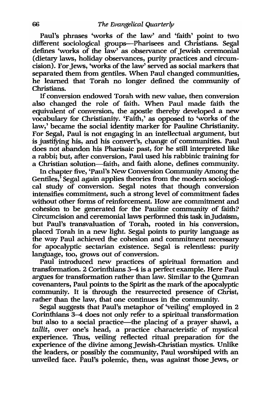Paul's phrases 'works of the law' and 'faith' point to two different sociological groups--Pharisees and Christians. Segal defines 'works of the law' as observance of Jewish ceremonial (dietary laws, holiday observances, purity practices and circumcision). For Jews, 'works of the law' served as social markers that separated them from gentiles. When Paul changed communities, he learned that Torah no longer defined the community of Christians.

If conversion endowed Torah with new value, then conversion also changed the role of faith. When Paul made faith the equivalent of conversion, the apostle thereby developed a new vocabulary for Christianity. 'Faith,' as opposed to 'works of the law,' became the social identity marker for Pauline Christianity. For Segal, Paul is not engaging in an intellectual argument, but is justifying his, and his convert's, change of communities. Paul does not abandon his Pharisaic past, for he still interpreted like a rabbi; but, after conversion, Paul used his rabbinic training for a Christian solution-faith, and faith alone, defines community.

In chapter five, 'Paul's New Conversion Community Among the Gentiles,<sup>5</sup> Segal again applies theories from the modern sociological study of conversion. Segal notes that though conversion intensifies commitment, such a strong level of commitment fades without other forms of reinforcement. How are commitment and cohesion to be generated for the Pauline community of faith? Circumcision and ceremonial laws performed this task inJudaism, but Paul's transvaluation of Torah, rooted in his conversion, placed Torah in a new light. Segal points to purity language as the way Paul achieved the cohesion and commitment necessary for apocalyptic sectarian existence. Segal is relentless: purity language, too, grows out of conversion.

Paul introduced new practices of spiritual formation and transformation. 2 Corinthians 3-4 is a perfect example. Here Paul argues for transformation rather than law. Similar to the Qumran covenanters, Paul points to the Spirit as the mark of the apocalyptic community. It is through the resurrected presence of Christ, rather than the law, that one continues in the community.

Segal suggests that Paul's metaphor of 'veiling' employed in 2 Corinthians 3-4 does not only refer to a spiritual transformation but also to a social practice-the placing of a prayer shawl, a *tallit,* over one's head, a practice characteristic of mystical experience. Thus, veiling reflected ritual preparation for the experience of the divine among Jewish-Christian mystics. Unlike the leaders, or possibly the community, Paul worshiped with an unveiled face. Paul's polemic, then, was against those Jews, or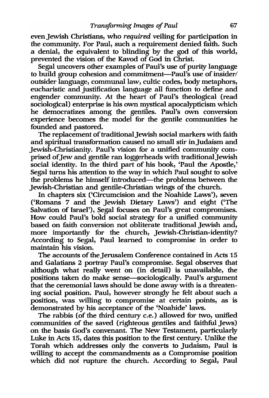even Jewish Christians, who *required* veiling for participation in the community. For Paul, such a requirement denied faith. Such a denial, the equivalent to blinding by the god of this world, prevented the vision of the Kavod of God in Christ.

Segal uncovers other examples of Paul's use of purity language to build group cohesion and commitment-Paul's use of insider/ outsider language, communal law, cultic codes, body metaphors, eucharistic and justification language all function to define and engender community. At the heart of Paul's theological (read sociological) enterprise is his own mystical apocalypticism which he democratizes among the gentiles. Paul's own conversion experience becomes the model for the gentile communities he founded and pastored.

The replacement of traditional Jewish social markers with faith and spiritual transformation caused no small stir inJudaism and Jewish-Christianity. Paul's vision for a unified community comprised of Jew and gentile ran loggerheads with traditional Jewish social identity. In the third part of his book, 'Paul the Apostle,' Segal turns his attention to the way in which Paul sought to solve the problems he himself introduced—the problems between the Jewish-Christian and gentile-Christian wings of the church.

In chapters six ('Circumcision and the Noahide Laws'), seven ('Romans· 7 and the Jewish Dietary Laws') and eight ('The Salvation of Israel'), Segal focuses on Paul's great compromises. How could Paul's bold social strategy for a unified community based on faith conversion not obliterate traditional Jewish and, more importantly for the church, Jewish-Christian-identity? According to Segal, Paul learned to compromise in order to maintain his vision.

The accounts of the Jerusalem Conference contained in Acts 15 and Galatians 2 portray Paul's compromise. Segal observes that although what really went on (in detail) is unavailable, the positions taken do make sense---sociologically. Paul's argument that the ceremonial laws should be done away with is a threatening social position. Paul, however strongly he felt about such a position, was willing to compromise at certain points, as is demonstrated by his acceptance of the 'Noahide' laws.

The rabbis (of the third century c.e.) allowed for two, unified communities of the saved (righteous gentiles and faithful Jews) on the basis God's convenant. The New Testament, particularly Luke in Acts 15, dates this position to the first century. Unlike the Torah which addresses only the converts to Judaism, Paul is willing to accept the commandments as a Compromise position which did not rupture the church. According to Segal, Paul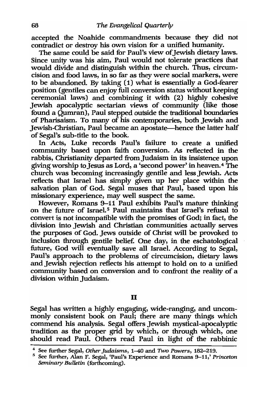accepted the Noahide commandments because they did not contradict or destroy his own vision for a unified humanity.

The same could be said for Paul's view of Jewish dietary laws. Since unity was his aim, Paul would not tolerate practices that would divide and distinguish within the church. Thus, circumcision and food laws, in so far as they were social markers, were to be abandoned. By taking (1) what is essentially a God-fearer position (gentiles can enjoy full conversion status without keeping ceremonial laws) and combining it with (2) highly cohesive Jewish apocalyptic sectarian views of community (like those found a Qumran), Paul stepped outside the traditional boundaries of Pharisaism. To many of his contemporaries, both Jewish and Jewish-Christian, Paul became an apostate—hence the latter half of Segal's sub-title to the book.

In Acts, Luke records Paul's failure to create a unified community based upon faith conversion. As reflected in the rabbis, Christianity departed from Judaism in its insistence upon giving worship to Jesus as Lord, a 'second power' in heaven.4 The church was becoming increasingly gentile and less Jewish. Acts reflects that Israel has simply given up her place within the salvation plan of God. Segal muses that Paul, based upon his missionary experience, may well suspect the same.

However, Romans 9-11 Paul exhibits Paul's mature thinking on the future of Israel.<sup>5</sup> Paul maintains that Israel's refusal to convert is not incompatible with the promises of God; in fact, the division into Jewish and Christian communities actually serves the purposes of God. Jews outside of Christ will be provoked to inclusion through gentile belief. One day, in the eschatological future, God will eventually save all Israel. According to Segal, Paul's approach to the problems of circumcision, dietary laws and Jewish rejection reflects his attempt to hold on to a unified community based on conversion and to confront the reality of a division within Judaism.

II

Segal has written a highly engaging, wide-ranging, and uncommonly consistent book on Paul; there are many things which commend his analysis. Segal offers Jewish mystical-apocalyptic tradition as the proper grid by which, or through which, one should read Paul. Others read Paul in light of the rabbinic

<sup>4</sup>See further Segal, *Other judaisms,* 1-40 and Two *Powers, 182-219.* 

<sup>5</sup> See further, Alan F. Segal, 'Paul's Experience and Romans 9-11,' *Princeton Seminary Bulletin* (forthcoming).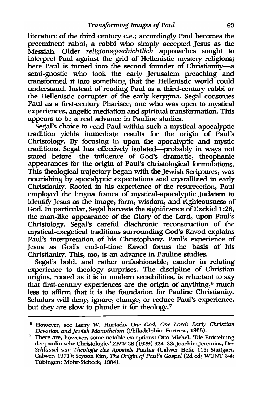literature of the third century c.e.; accordingly Paul becomes the preeminent rabbi, a rabbi who simply accepted Jesus as the Messiah. Older *religionsgeschichtlich* approaches sought to interpret Paul against the grid of Hellenistic *mystery* religions; here Paul is turned into the second founder of Christianity-a semi-gnostic who took the early Jerusalem preaching and transformed it into something that the Hellenistic world could understand. Instead of reading Paul as a third-century rabbi or the Hellenistic corrupter of the early kerygma, Segal construes Paul as a first-century Pharisee, one who was open to mystical experiences, angelic mediation and spiritual transformation. This appears to be a real advance in Pauline studies.

Segal's choice to read Paul within such a mystical-apocalyptic tradition yields immediate results for the origin of Paul's Christology. By focusing in upon the apocalyptic and mystic traditions, Segal has effectively isolated-probably in ways not stated before—the influence of God's dramatic, theophanic appearances for the origin of Paul's christological formulations. This theological trajectory began with the Jewish Scriptures, was nourishing by apocalyptic expectations and crystallized in early Christianity. Rooted in his experience of the resurrection, Paul employed the lingua franca of mystical-apocalyptic Judaism to identity Jesus as the image, form, wisdom, and righteousness of God. In particular, Segal harvests the significance of Ezekiel 1:28, the man-like appearance of the Glory of the Lord, upon Paul's Christology. Segal's careful diachronic reconstruction of the mystical-exegetical traditions surrounding God's Kavod explains Paul's interpretation of his Christophany. Paul's experience of Jesus as God's end-of-time Kavod forms the basis of his Christianity. This, too, is an advance in Pauline studies.

Segal's bold, and rather unfashionable, candor in relating experience to theology surprises. The discipline of Christian origins, rooted as it is in modern sensibilities, is reluctant to say that first-century experiences are the origin of anything,<sup>6</sup> much less to affirm that it is the foundation for Pauline Christianity. Scholars will deny, ignore, change, or reduce Paul's experience, but they are slow to plunder it for theology.<sup>7</sup>

<sup>6</sup> However, see Larry W. Hurtado, *One God, One Lord: Early Christian Devotion and]ewish Monotheism* (Philadelphia: Fortress, 1988).

<sup>7</sup> There are, however, some notable exceptions: Otto Michel, 'Die Entstehung der paulinische Christologie,' *ZNW* 28 (1929) 324-33;JoachimJeremias, *Der Schlüssel zur Theologie des Apostels Paulus* (Calwer Hefte 115; Stuttgart, Calwer, 1971); Seyoon Kim, *The Origin of Paul's Gospel* (2d ed; WUNT *2/4;*  Tiibingen: Mohr-Siebeck, 1984).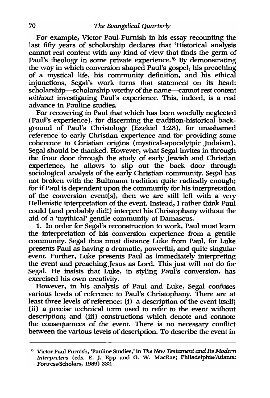For example, Victor Paul Furnish in his essay recounting the last fifty years of scholarship declares that 'Historical analysis cannot rest content with any kind of view that finds the germ of Paul's theology in some private experience.<sup>'8</sup> By demonstrating the way in which conversion shaped Paul's gospel, his preaching of a mystical life, his community definition, and his ethical injunctions, Segal's work turns that statement on its head: scholarship-scholarship worthy of the name-cannot rest content *without* investigating Paul's experience. This, indeed, is a real advance in Pauline studies.

For recovering in Paul that which has been woefully neglected (Paul's experience), for discerning the tradition-historical background of Paul's Christology (Ezekiel 1:28), for unashamed reference to early Christian experience and for providing some coherence to Christian origins (mystical-apocalytpic Judaism), Segal should be thanked. However, what Segal invites in through the front door through the study of early Jewish and Christian experience, he allows to slip out the back door through sociological analysis of the early Christian community. Segal has not broken with the Bultmann tradition quite radically enough; for if Paul is dependent upon the community for his interpretation of the conversion event(s), then we are still left with a *very*  Hellenistic interpretation of the event. Instead, I rather think Paul could (and probably did!) interpret his Christophany without the aid of a 'mythical' gentile community at Damascus.

1. In order for Segal's reconstruction to work, Paul must learn the interpretation of his conversion experience from a gentile community. Segal thus must distance Luke from Paul, for Luke presents Paul as having a dramatic, powerful, and quite singular event. Further, Luke presents Paul as immediately interpreting the event and preaching Jesus as Lord. This just will not do for Segal. He insists that Luke, in styling Paul's conversion, has exercised his own creativity.

However, in his analysis of Paul and Luke, Segal confuses various levels of reference to Paul's Christophany. There are at least three levels of reference: (i) a description of the event itself; (ii) a precise technical term used to refer to the event without description; and (iii) constructions which denote and connote the consequences of the event. There is no necessary conflict between the various levels of description. To describe the event in

<sup>6</sup> Victor Paul Furnish, 'Pauline Studies,' in *The New Testament and Its Modern Interpreters* (eds. E. J. Epp and G. W. MacRae; Philadelphia/Atlanta: Fortress/Scholars, 1989) 332.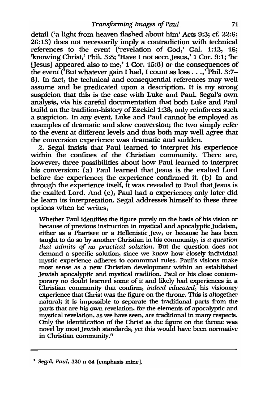detail ('a light from heaven flashed about him' Acts 9:3; cf. 22:6; 26:13) does not necessarily imply a contradiction with technical references to the event ('revelation of God,' Gal. 1:12, 16; 'knowing Christ,' Phil. 3:8; 'Have I not seen Jesus,' 1 Cor. 9:1; 'he [Jesus] appeared also to me,' 1 Cor. 15:8) or the consequences of the event (But whatever gain I had, I count as  $\cos \ldots$ , Phil. 3:7-8). In fact, the technical and consequential references may well assume and be predicated upon a description. It is my strong suspicion that this is the case with Luke and Paul. Segal's own analysis, via his careful documentation that both Luke and Paul build on the tradition-history of Ezekiel 1:28, only reinforces such a suspicion. In any event, Luke and Paul cannot be employed as examples of dramatic and slow conversion; the two simply refer to the event at different levels and thus both may well agree that the conversion experience was dramatic and sudden.

2. Segal insists that Paul learned to interpret his experience within the confines of the Christian community. There are, however, three possibilities about how Paul learned to interpret his conversion: (a) Paul learned that Jesus is the exalted Lord before the experience; the experience confirmed it. (b) In and through the experience itself, it was revealed to Paul that Jesus is the exalted Lord. And (c), Paul had a experience; only later did he learn its interpretation. Segal addresses himself to these three options when he writes,

Whether Paul identifies the figure purely on the basis of his vision or because of previous instruction in mystical and apocalyptic Judaism, either as a Pharisee or a Hellenistic Jew, or because he has been taught to do so by another Christian in his community, *is a questinn that admits of no practical solutinn.* But the question does not demand a specific solution, since we know how closely individual mystic experience adheres to communal rules. Paul's visions make most sense as a new Christian development within an established Jewish apocalyptic and mystical tradition. Paul or his close contemporary no doubt learned some of it and likely had experiences in a Christian community that confirm, *indeed educated,* his visionary experience that Christ was the figure on the throne. This is altogether natural; it is impossible to separate the traditional parts from the parts that are his own revelation, for the elements of apocalyptic and mystical revelation, as we have seen, are traditional in many respects. Only the identification of the Christ as the figure on the throne was novel by most Jewish standards, yet this would have been normative in Christian community.9

<sup>9</sup> Segal, *Paul,* 320 n 64 [emphasis mine].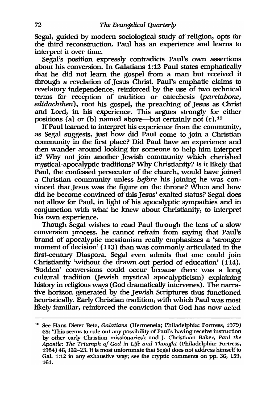Segal, guided by modern sociological study of religion, opts for the third reconstruction. Paul has an experience and learns to interpret it over time.

Segal's position expressly contradicts Paul's own assertions about his conversion. In Galatians 1:12 Paul states emphatically that he did not learn the gospel from a man but received it through a revelation of Jesus Christ. Paul's emphatic claims to revelatory independence, reinforced by the use of two technical terms for reception of tradition or catechesis *(parelabone, edidachthen),* root his gospel, the preaching of Jesus as Christ and Lord, in his experience. This argues strongly for either positions (a) or (b) named above-but certainly not (c).1°

If Paul learned to interpret his experience from the community, as Segal suggests, just how did Paul come to join a Christian community in the first place? Did Paul have an experience and then wander around looking for someone to help him interpret it? Why not join another Jewish community which cherished mystical-apocalyptic traditions? Why Christianity? Is it likely that Paul, the confessed persecutor of the church, would have joined a . Christian community unless *before* his joining he was convinced that Jesus was the figure on the throne? When and how did he become convinced of this Jesus' exalted status? Segal does not allow for Paul, in light of his apocalyptic sympathies and in conjunction with what he knew about Christianity, to interpret his own experience.

Though Segal wishes to read Paul through the lens of a slow conversion process, he cannot refrain from saying that Paul's brand of apocalyptic messianism really emphasizes a 'stronger moment of decision' (113) than was commonly articulated in the first-century Diaspora. Segal even admits that one could join Christianity 'without the drawn-out period of education' (114). 'Sudden' conversions could occur because there was a long cultural tradition Uewish mystical apocalypticism) explaining history in religious ways (God dramatically intervenes). The narrative horizon generated by the Jewish Scriptures thus functioned heuristically. Early Christian tradition, with which Paul was most likely familiar, reinforced the conviction that God has now acted

<sup>10</sup> See Hans Dieter Betz, *Galatians* (Hermeneia; Philadelphia: Fortress, 1979) 65: 'This seems to rule out any possibility of Paul's having receive instruction by other early Christian missionaries'; and J. Christiaan Baker, *Paul the Apostle: The Triumph of God in Life and Thought* (Philadelphia: Fortress, 1984) 46, 122-23. It is most unfortunate that Segal does not address himself to Gal. 1:12 in any exhaustive way; see the cryptic comments on pp. 36, 159, 161.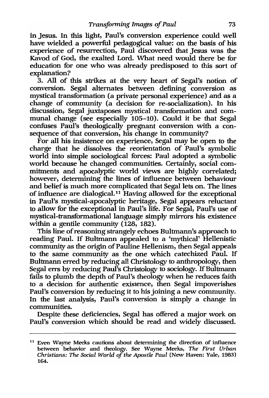in Jesus. In this light, Paul's conversion experience could well have wielded a powerful pedagogical value: on the basis of his experience of resurrection, Paul discovered that Jesus was the Kavod of God, the exalted Lord. What need would there be for education for one who was already predisposed to this sort of explanation?

3. All of this strikes at the very heart of Segal's notion of conversion. Segal alternates between defining conversion as mystical transformation (a private personal experience) and as a change of community (a decision for re-socialization). In his discussion, Segal juxtaposes mystical transformation and communal change (see especially 105-10). Could it be that Segal confuses Paul's theologically pregnant conversion with a consequence of that conversion, his change in community?

For all his insistence on experience, Segal may be open to the charge that he dissolves the reorientation of Paul's symbolic world into simple sociological forces: Paul adopted a symbolic world because he changed communities; Certainly, social commitments and apocalyptic world views are highly correlated; however, determining the lines of influence between behaviour and belief is much more complicated that Segal lets on. The lines of influence are dialogical.<sup>11</sup> Having allowed for the exceptional in Paul's mystical-apocalyptic heritage, Segal appears reluctant to allow for the exceptional in Paul's life. For Segal, Paul's use of mystical-transformational language simply mirrors his existence within a gentile community  $(128, 182)$ .

This line of reasoning strangely echoes Bultmann's approach to reading Paul. If Bultmann appealed to a 'mythical' Hellenistic community as the origin of Pauline Hellenism, then Segal appeals to the same community as the one which catechized Paul. If Bultmann erred by reducing all Christology to anthropology, then Segal errs by reducing Paul's Christology to sociology. If Bultmann fails to plumb the depth of Paul's theology when he reduces faith to a decision for authentic existence, then Segal impoverishes Paul's conversion by reducing it to his joining a new community. In the last analysis, Paul's conversion is simply a change in communities.

Despite these deficiencies, Segal has offered a major work on Paul's conversion which should be read and widely discussed.

<sup>11</sup> Even Wayne Meeks cautions about determining the direction of influence between behavior and theology. See Wayne Meeks, The First Urban *Christians: The Social World of the Apostle Paul* (New Haven: Yale, 1983) 164.